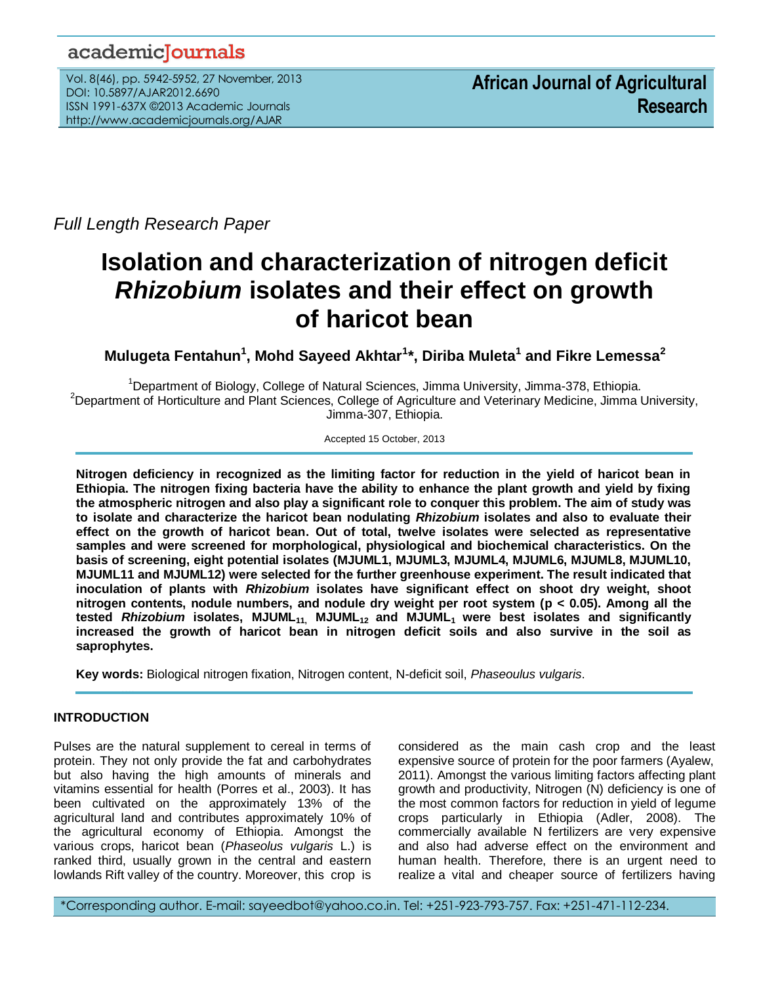## academicJournals

Vol. 8(46), pp. 5942-5952, 27 November, 2013 DOI: 10.5897/AJAR2012.6690 ISSN 1991-637X ©2013 Academic Journals http://www.academicjournals.org/AJAR

*Full Length Research Paper*

# **Isolation and characterization of nitrogen deficit**  *Rhizobium* **isolates and their effect on growth of haricot bean**

**Mulugeta Fentahun<sup>1</sup> , Mohd Sayeed Akhtar<sup>1</sup> \*, Diriba Muleta<sup>1</sup> and Fikre Lemessa<sup>2</sup>**

<sup>1</sup>Department of Biology, College of Natural Sciences, Jimma University, Jimma-378, Ethiopia. <sup>2</sup>Department of Horticulture and Plant Sciences, College of Agriculture and Veterinary Medicine, Jimma University, Jimma-307, Ethiopia.

Accepted 15 October, 2013

**Nitrogen deficiency in recognized as the limiting factor for reduction in the yield of haricot bean in Ethiopia. The nitrogen fixing bacteria have the ability to enhance the plant growth and yield by fixing the atmospheric nitrogen and also play a significant role to conquer this problem. The aim of study was to isolate and characterize the haricot bean nodulating** *Rhizobium* **isolates and also to evaluate their effect on the growth of haricot bean. Out of total, twelve isolates were selected as representative samples and were screened for morphological, physiological and biochemical characteristics. On the basis of screening, eight potential isolates (MJUML1, MJUML3, MJUML4, MJUML6, MJUML8, MJUML10, MJUML11 and MJUML12) were selected for the further greenhouse experiment. The result indicated that inoculation of plants with** *Rhizobium* **isolates have significant effect on shoot dry weight, shoot nitrogen contents, nodule numbers, and nodule dry weight per root system (p < 0.05). Among all the tested** *Rhizobium* **isolates, MJUML<sub>11</sub>, MJUML<sub>12</sub> and MJUML<sub>1</sub> were best isolates and significantly increased the growth of haricot bean in nitrogen deficit soils and also survive in the soil as saprophytes.**

**Key words:** Biological nitrogen fixation, Nitrogen content, N-deficit soil, *Phaseoulus vulgaris*.

## **INTRODUCTION**

...*.*

Pulses are the natural supplement to cereal in terms of protein. They not only provide the fat and carbohydrates but also having the high amounts of minerals and vitamins essential for health (Porres et al., 2003). It has been cultivated on the approximately 13% of the agricultural land and contributes approximately 10% of the agricultural economy of Ethiopia. Amongst the various crops, haricot bean (*Phaseolus vulgaris* L.) is ranked third, usually grown in the central and eastern lowlands Rift valley of the country. Moreover, this crop is

considered as the main cash crop and the least expensive source of protein for the poor farmers (Ayalew, 2011). Amongst the various limiting factors affecting plant growth and productivity, Nitrogen (N) deficiency is one of the most common factors for reduction in yield of legume crops particularly in Ethiopia (Adler, 2008). The commercially available N fertilizers are very expensive and also had adverse effect on the environment and human health. Therefore, there is an urgent need to realize a vital and cheaper source of fertilizers having

\*Corresponding author. E-mail: sayeedbot@yahoo.co.in. Tel: +251-923-793-757. Fax: +251-471-112-234.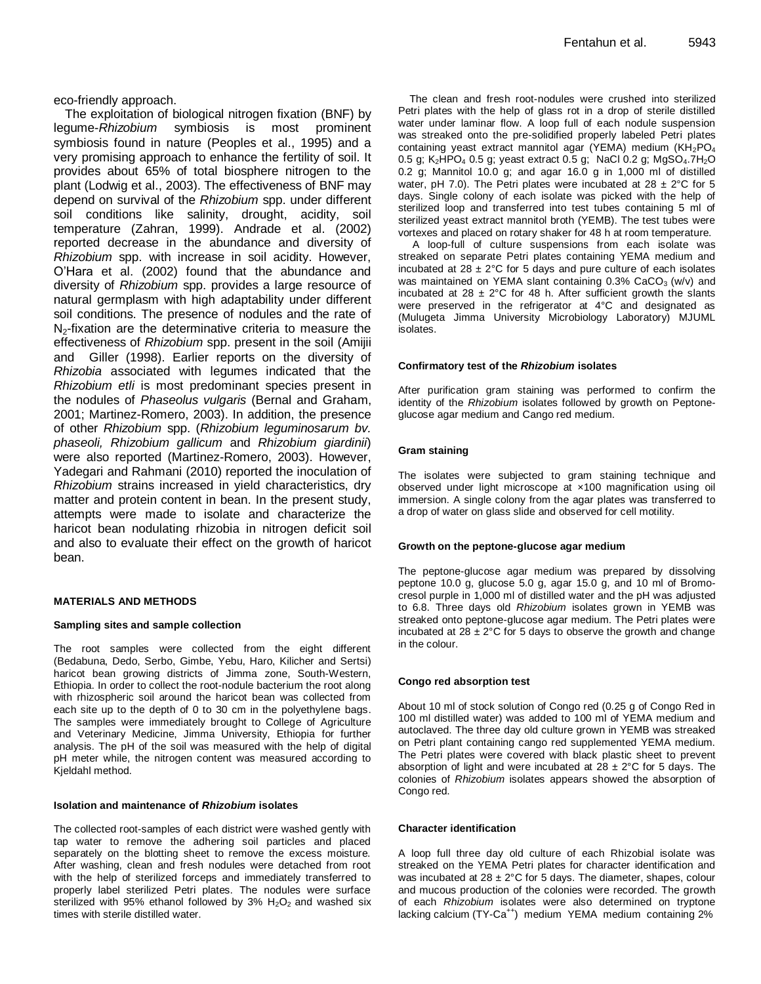eco-friendly approach.

The exploitation of biological nitrogen fixation (BNF) by legume-*Rhizobium* symbiosis is most prominent symbiosis found in nature (Peoples et al., 1995) and a very promising approach to enhance the fertility of soil. It provides about 65% of total biosphere nitrogen to the plant (Lodwig et al., 2003). The effectiveness of BNF may depend on survival of the *Rhizobium* spp. under different soil conditions like salinity, drought, acidity, soil temperature [\(Zahran,](http://www.ncbi.nlm.nih.gov/sites/entrez?cmd=search&db=PubMed&term=%20Zahran%2BHH%5bauth%5d) 1999). Andrade et al. (2002) reported decrease in the abundance and diversity of *Rhizobium* spp. with increase in soil acidity. However, O'Hara et al. (2002) found that the abundance and diversity of *Rhizobium* spp. provides a large resource of natural germplasm with high adaptability under different soil conditions. The presence of nodules and the rate of  $N<sub>2</sub>$ -fixation are the determinative criteria to measure the effectiveness of *Rhizobium* spp. present in the soil (Amijii and Giller (1998). Earlier reports on the diversity of *Rhizobia* associated with legumes indicated that the *Rhizobium etli* is most predominant species present in the nodules of *Phaseolus vulgaris* (Bernal and Graham, 2001; Martinez-Romero, 2003). In addition, the presence of other *Rhizobium* spp. (*Rhizobium leguminosarum bv. phaseoli, Rhizobium gallicum* and *Rhizobium giardinii*) were also reported (Martinez-Romero, 2003). However, Yadegari and Rahmani (2010) reported the inoculation of *Rhizobium* strains increased in yield characteristics, dry matter and protein content in bean. In the present study, attempts were made to isolate and characterize the haricot bean nodulating rhizobia in nitrogen deficit soil and also to evaluate their effect on the growth of haricot bean.

## **MATERIALS AND METHODS**

## **Sampling sites and sample collection**

The root samples were collected from the eight different (Bedabuna, Dedo, Serbo, Gimbe, Yebu, Haro, Kilicher and Sertsi) haricot bean growing districts of Jimma zone, South-Western, Ethiopia. In order to collect the root-nodule bacterium the root along with rhizospheric soil around the haricot bean was collected from each site up to the depth of 0 to 30 cm in the polyethylene bags. The samples were immediately brought to College of Agriculture and Veterinary Medicine, Jimma University, Ethiopia for further analysis. The pH of the soil was measured with the help of digital pH meter while, the nitrogen content was measured according to Kjeldahl method.

## **Isolation and maintenance of** *Rhizobium* **isolates**

The collected root-samples of each district were washed gently with tap water to remove the adhering soil particles and placed separately on the blotting sheet to remove the excess moisture. After washing, clean and fresh nodules were detached from root with the help of sterilized forceps and immediately transferred to properly label sterilized Petri plates. The nodules were surface sterilized with 95% ethanol followed by 3%  $H_2O_2$  and washed six times with sterile distilled water.

The clean and fresh root-nodules were crushed into sterilized Petri plates with the help of glass rot in a drop of sterile distilled water under laminar flow. A loop full of each nodule suspension was streaked onto the pre-solidified properly labeled Petri plates containing yeast extract mannitol agar (YEMA) medium  $(KH_2PO_4)$ 0.5 g; K<sub>2</sub>HPO<sub>4</sub> 0.5 g; yeast extract 0.5 g; NaCl 0.2 g; MgSO<sub>4</sub>.7H<sub>2</sub>O 0.2 g; Mannitol 10.0 g; and agar 16.0 g in 1,000 ml of distilled water, pH 7.0). The Petri plates were incubated at  $28 \pm 2^{\circ}$ C for 5 days. Single colony of each isolate was picked with the help of sterilized loop and transferred into test tubes containing 5 ml of sterilized yeast extract mannitol broth (YEMB). The test tubes were vortexes and placed on rotary shaker for 48 h at room temperature.

A loop-full of culture suspensions from each isolate was streaked on separate Petri plates containing YEMA medium and incubated at  $28 \pm 2^{\circ}$ C for 5 days and pure culture of each isolates was maintained on YEMA slant containing  $0.3\%$  CaCO<sub>3</sub> (w/v) and incubated at 28  $\pm$  2°C for 48 h. After sufficient growth the slants were preserved in the refrigerator at 4°C and designated as (Mulugeta Jimma University Microbiology Laboratory) MJUML isolates.

#### **Confirmatory test of the** *Rhizobium* **isolates**

After purification gram staining was performed to confirm the identity of the *Rhizobium* isolates followed by growth on Peptoneglucose agar medium and Cango red medium.

## **Gram staining**

The isolates were subjected to gram staining technique and observed under light microscope at ×100 magnification using oil immersion. A single colony from the agar plates was transferred to a drop of water on glass slide and observed for cell motility.

#### **Growth on the peptone-glucose agar medium**

The peptone-glucose agar medium was prepared by dissolving peptone 10.0 g, glucose 5.0 g, agar 15.0 g, and 10 ml of Bromocresol purple in 1,000 ml of distilled water and the pH was adjusted to 6.8. Three days old *Rhizobium* isolates grown in YEMB was streaked onto peptone-glucose agar medium. The Petri plates were incubated at  $28 \pm 2^{\circ}$ C for 5 days to observe the growth and change in the colour.

## **Congo red absorption test**

About 10 ml of stock solution of Congo red (0.25 g of Congo Red in 100 ml distilled water) was added to 100 ml of YEMA medium and autoclaved. The three day old culture grown in YEMB was streaked on Petri plant containing cango red supplemented YEMA medium. The Petri plates were covered with black plastic sheet to prevent absorption of light and were incubated at  $28 \pm 2^{\circ}$ C for 5 days. The colonies of *Rhizobium* isolates appears showed the absorption of Congo red.

#### **Character identification**

A loop full three day old culture of each Rhizobial isolate was streaked on the YEMA Petri plates for character identification and was incubated at  $28 \pm 2^{\circ}$ C for 5 days. The diameter, shapes, colour and mucous production of the colonies were recorded. The growth of each *Rhizobium* isolates were also determined on tryptone lacking calcium (TY-Ca<sup>++</sup>) medium YEMA medium containing 2%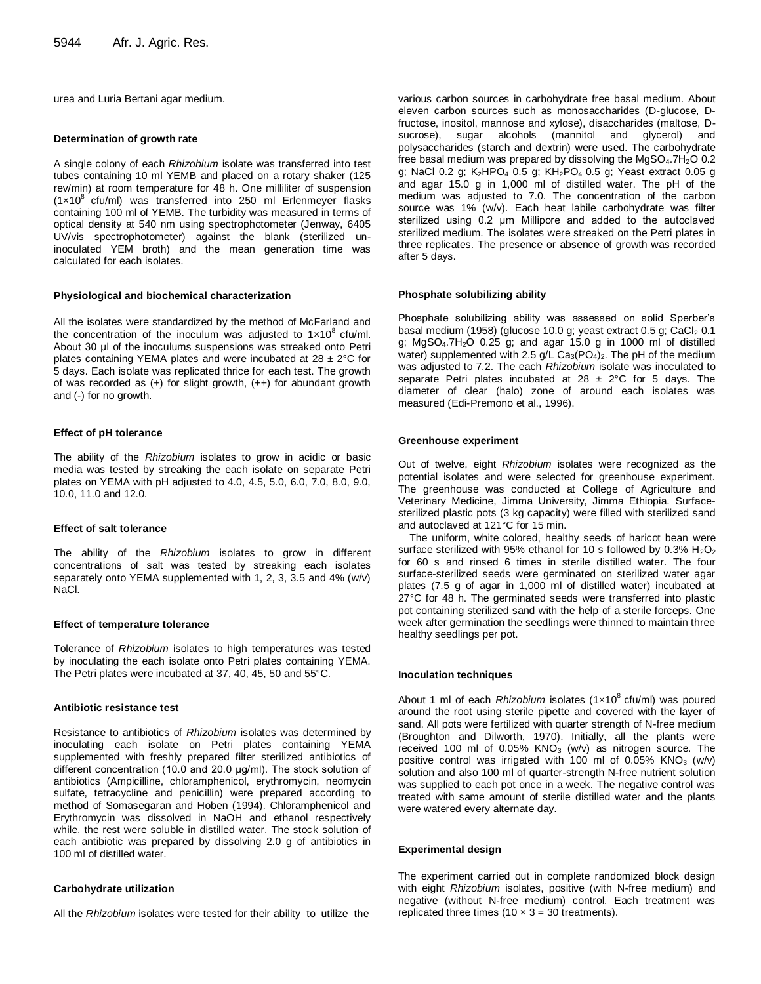urea and Luria Bertani agar medium.

#### **Determination of growth rate**

A single colony of each *Rhizobium* isolate was transferred into test tubes containing 10 ml YEMB and placed on a rotary shaker (125 rev/min) at room temperature for 48 h. One milliliter of suspension  $(1 \times 10^8 \text{ cfu/ml})$  was transferred into 250 ml Erlenmeyer flasks containing 100 ml of YEMB. The turbidity was measured in terms of optical density at 540 nm using spectrophotometer (Jenway, 6405 UV/vis spectrophotometer) against the blank (sterilized uninoculated YEM broth) and the mean generation time was calculated for each isolates.

#### **Physiological and biochemical characterization**

All the isolates were standardized by the method of McFarland and the concentration of the inoculum was adjusted to  $1 \times 10^8$  cfu/ml. About 30 μl of the inoculums suspensions was streaked onto Petri plates containing YEMA plates and were incubated at  $28 \pm 2^{\circ}$ C for 5 days. Each isolate was replicated thrice for each test. The growth of was recorded as (+) for slight growth, (++) for abundant growth and (-) for no growth.

#### **Effect of pH tolerance**

The ability of the *Rhizobium* isolates to grow in acidic or basic media was tested by streaking the each isolate on separate Petri plates on YEMA with pH adjusted to 4.0, 4.5, 5.0, 6.0, 7.0, 8.0, 9.0, 10.0, 11.0 and 12.0.

#### **Effect of salt tolerance**

The ability of the *Rhizobium* isolates to grow in different concentrations of salt was tested by streaking each isolates separately onto YEMA supplemented with 1, 2, 3, 3.5 and 4% (w/v) NaCl.

#### **Effect of temperature tolerance**

Tolerance of *Rhizobium* isolates to high temperatures was tested by inoculating the each isolate onto Petri plates containing YEMA. The Petri plates were incubated at 37, 40, 45, 50 and 55°C.

#### **Antibiotic resistance test**

Resistance to antibiotics of *Rhizobium* isolates was determined by inoculating each isolate on Petri plates containing YEMA supplemented with freshly prepared filter sterilized antibiotics of different concentration (10.0 and 20.0 μg/ml). The stock solution of antibiotics (Ampicilline, chloramphenicol, erythromycin, neomycin sulfate, tetracycline and penicillin) were prepared according to method of Somasegaran and Hoben (1994). Chloramphenicol and Erythromycin was dissolved in NaOH and ethanol respectively while, the rest were soluble in distilled water. The stock solution of each antibiotic was prepared by dissolving 2.0 g of antibiotics in 100 ml of distilled water.

#### **Carbohydrate utilization**

All the *Rhizobium* isolates were tested for their ability to utilize the

various carbon sources in carbohydrate free basal medium. About eleven carbon sources such as monosaccharides (D-glucose, Dfructose, inositol, mannose and xylose), disaccharides (maltose, Dsucrose), sugar alcohols (mannitol and glycerol) and polysaccharides (starch and dextrin) were used. The carbohydrate free basal medium was prepared by dissolving the MgSO<sub>4</sub>.7H<sub>2</sub>O 0.2 g; NaCl 0.2 g; K2HPO<sub>4</sub> 0.5 g; KH<sub>2</sub>PO<sub>4</sub> 0.5 g; Yeast extract 0.05 g and agar 15.0 g in 1,000 ml of distilled water. The pH of the medium was adjusted to 7.0. The concentration of the carbon source was 1% (w/v). Each heat labile carbohydrate was filter sterilized using 0.2 μm Millipore and added to the autoclaved sterilized medium. The isolates were streaked on the Petri plates in three replicates. The presence or absence of growth was recorded after 5 days.

#### **Phosphate solubilizing ability**

Phosphate solubilizing ability was assessed on solid Sperber's basal medium (1958) (glucose 10.0 g; yeast extract  $0.5$  g; CaCl<sub>2</sub>  $0.1$ g;  $MgSO<sub>4</sub>$ .7H<sub>2</sub>O 0.25 g; and agar 15.0 g in 1000 ml of distilled water) supplemented with 2.5 g/L  $Ca_{3}(PO_{4})_{2}$ . The pH of the medium was adjusted to 7.2. The each *Rhizobium* isolate was inoculated to separate Petri plates incubated at  $28 \pm 2^{\circ}$ C for 5 days. The diameter of clear (halo) zone of around each isolates was measured (Edi-Premono et al., 1996).

#### **Greenhouse experiment**

Out of twelve, eight *Rhizobium* isolates were recognized as the potential isolates and were selected for greenhouse experiment. The greenhouse was conducted at College of Agriculture and Veterinary Medicine, Jimma University, Jimma Ethiopia. Surfacesterilized plastic pots (3 kg capacity) were filled with sterilized sand and autoclaved at 121°C for 15 min.

The uniform, white colored, healthy seeds of haricot bean were surface sterilized with 95% ethanol for 10 s followed by 0.3%  $H_2O_2$ for 60 s and rinsed 6 times in sterile distilled water. The four surface-sterilized seeds were germinated on sterilized water agar plates (7.5 g of agar in 1,000 ml of distilled water) incubated at 27°C for 48 h. The germinated seeds were transferred into plastic pot containing sterilized sand with the help of a sterile forceps. One week after germination the seedlings were thinned to maintain three healthy seedlings per pot.

#### **Inoculation techniques**

About 1 ml of each *Rhizobium* isolates (1x10<sup>8</sup> cfu/ml) was poured around the root using sterile pipette and covered with the layer of sand. All pots were fertilized with quarter strength of N-free medium (Broughton and Dilworth, 1970). Initially, all the plants were received 100 ml of 0.05% KNO<sub>3</sub> (w/v) as nitrogen source. The positive control was irrigated with 100 ml of 0.05%  $KNO<sub>3</sub>$  (w/v) solution and also 100 ml of quarter-strength N-free nutrient solution was supplied to each pot once in a week. The negative control was treated with same amount of sterile distilled water and the plants were watered every alternate day.

#### **Experimental design**

The experiment carried out in complete randomized block design with eight *Rhizobium* isolates, positive (with N-free medium) and negative (without N-free medium) control. Each treatment was replicated three times  $(10 \times 3 = 30$  treatments).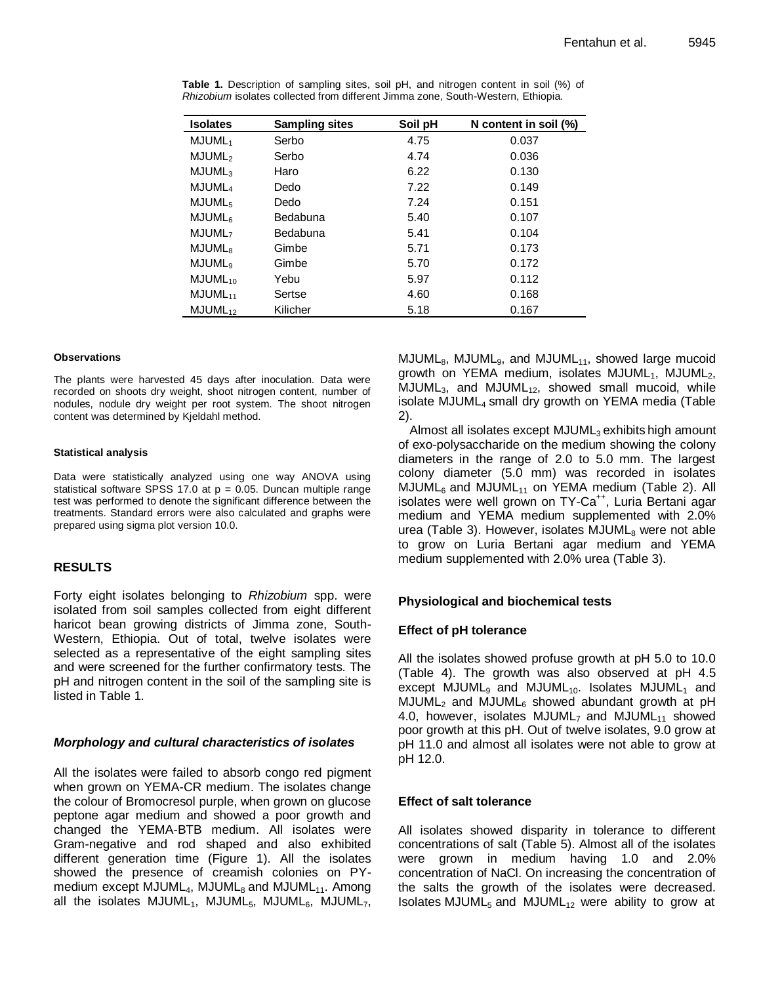| <b>Isolates</b>           | <b>Sampling sites</b> | Soil pH | N content in soil (%) |
|---------------------------|-----------------------|---------|-----------------------|
| MJUML <sub>1</sub>        | Serbo                 | 4.75    | 0.037                 |
| MJUML <sub>2</sub>        | Serbo                 | 4.74    | 0.036                 |
| MJUML <sub>3</sub>        | Haro                  | 6.22    | 0.130                 |
| MJUML <sub>4</sub>        | Dedo                  | 7.22    | 0.149                 |
| MJUML <sub>5</sub>        | Dedo                  | 7.24    | 0.151                 |
| <b>MJUML</b> <sub>6</sub> | Bedabuna              | 5.40    | 0.107                 |
| MJUML <sub>7</sub>        | Bedabuna              | 5.41    | 0.104                 |
| <b>MJUML</b> <sub>8</sub> | Gimbe                 | 5.71    | 0.173                 |
| MJUML <sub>9</sub>        | Gimbe                 | 5.70    | 0.172                 |
| $MJUML_{10}$              | Yebu                  | 5.97    | 0.112                 |
| $MJUML_{11}$              | Sertse                | 4.60    | 0.168                 |
| $MJUML_{12}$              | Kilicher              | 5.18    | 0.167                 |

**Table 1.** Description of sampling sites, soil pH, and nitrogen content in soil (%) of *Rhizobium* isolates collected from different Jimma zone, South-Western, Ethiopia.

## **Observations**

The plants were harvested 45 days after inoculation. Data were recorded on shoots dry weight, shoot nitrogen content, number of nodules, nodule dry weight per root system. The shoot nitrogen content was determined by Kjeldahl method.

## **Statistical analysis**

Data were statistically analyzed using one way ANOVA using statistical software SPSS 17.0 at  $p = 0.05$ . Duncan multiple range test was performed to denote the significant difference between the treatments. Standard errors were also calculated and graphs were prepared using sigma plot version 10.0.

## **RESULTS**

Forty eight isolates belonging to *Rhizobium* spp. were isolated from soil samples collected from eight different haricot bean growing districts of Jimma zone, South-Western, Ethiopia. Out of total, twelve isolates were selected as a representative of the eight sampling sites and were screened for the further confirmatory tests. The pH and nitrogen content in the soil of the sampling site is listed in Table 1.

## *Morphology and cultural characteristics of isolates*

All the isolates were failed to absorb congo red pigment when grown on YEMA-CR medium. The isolates change the colour of Bromocresol purple, when grown on glucose peptone agar medium and showed a poor growth and changed the YEMA-BTB medium. All isolates were Gram-negative and rod shaped and also exhibited different generation time (Figure 1). All the isolates showed the presence of creamish colonies on PYmedium except  $MJUML<sub>4</sub>$ ,  $MJUML<sub>8</sub>$  and  $MJUML<sub>11</sub>$ . Among all the isolates MJUML<sub>1</sub>, MJUML<sub>5</sub>, MJUML<sub>6</sub>, MJUML<sub>7</sub>,  $MJUML<sub>8</sub>$ , MJUML<sub>9</sub>, and MJUML<sub>11</sub>, showed large mucoid growth on YEMA medium, isolates  $MJUML<sub>1</sub>$ ,  $MJUML<sub>2</sub>$ ,  $MJUML<sub>3</sub>$ , and  $MJUML<sub>12</sub>$ , showed small mucoid, while isolate MJUML<sub>4</sub> small dry growth on YEMA media (Table 2).

Almost all isolates except MJUML<sub>3</sub> exhibits high amount of exo-polysaccharide on the medium showing the colony diameters in the range of 2.0 to 5.0 mm. The largest colony diameter (5.0 mm) was recorded in isolates  $MJUML<sub>6</sub>$  and  $MJUML<sub>11</sub>$  on YEMA medium (Table 2). All isolates were well grown on TY-Ca<sup>++</sup>, Luria Bertani agar medium and YEMA medium supplemented with 2.0% urea (Table 3). However, isolates  $MJUML<sub>8</sub>$  were not able to grow on Luria Bertani agar medium and YEMA medium supplemented with 2.0% urea (Table 3).

## **Physiological and biochemical tests**

## **Effect of pH tolerance**

All the isolates showed profuse growth at pH 5.0 to 10.0 (Table 4). The growth was also observed at pH 4.5 except MJUML<sub>9</sub> and MJUML<sub>10</sub>. Isolates MJUML<sub>1</sub> and  $MJUML<sub>2</sub>$  and  $MJUML<sub>6</sub>$  showed abundant growth at pH 4.0, however, isolates  $MJUML<sub>7</sub>$  and  $MJUML<sub>11</sub>$  showed poor growth at this pH. Out of twelve isolates, 9.0 grow at pH 11.0 and almost all isolates were not able to grow at pH 12.0.

## **Effect of salt tolerance**

All isolates showed disparity in tolerance to different concentrations of salt (Table 5). Almost all of the isolates were grown in medium having 1.0 and 2.0% concentration of NaCl. On increasing the concentration of the salts the growth of the isolates were decreased. Isolates MJUML $_5$  and MJUML $_{12}$  were ability to grow at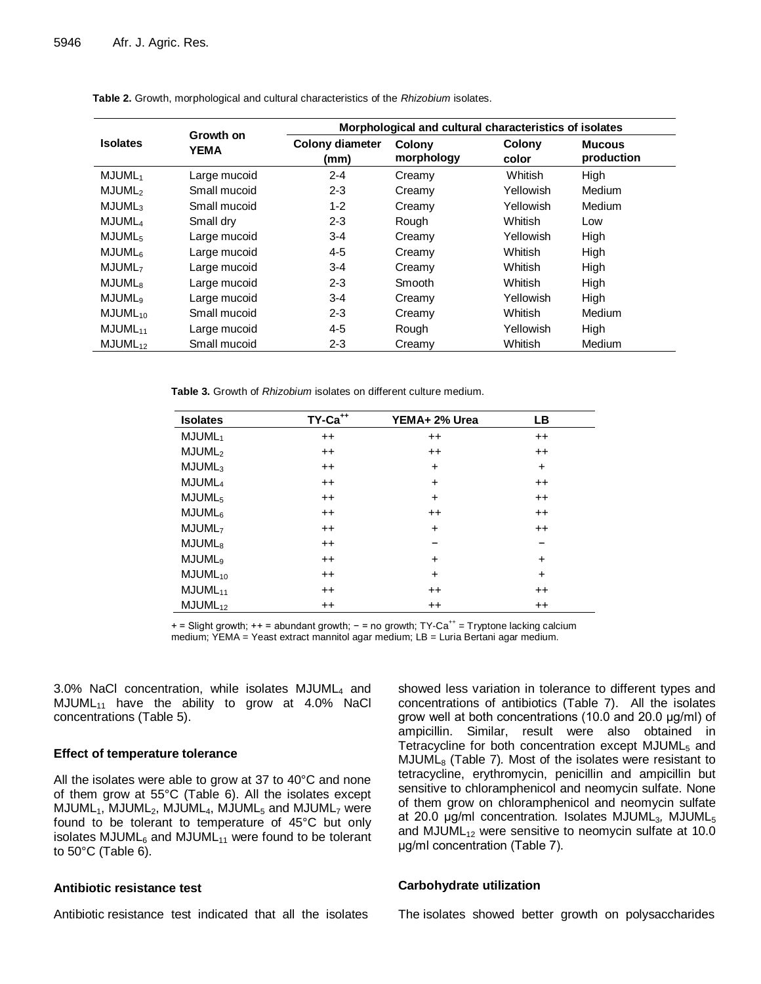|                           |                          | Morphological and cultural characteristics of isolates |                             |                 |                             |  |  |  |
|---------------------------|--------------------------|--------------------------------------------------------|-----------------------------|-----------------|-----------------------------|--|--|--|
| <b>Isolates</b>           | Growth on<br><b>YEMA</b> | <b>Colony diameter</b><br>(mm)                         | <b>Colony</b><br>morphology | Colony<br>color | <b>Mucous</b><br>production |  |  |  |
| MJUML <sub>1</sub>        | Large mucoid             | $2 - 4$                                                | Creamy                      | Whitish         | High                        |  |  |  |
| MJUML <sub>2</sub>        | Small mucoid             | $2 - 3$                                                | Creamy                      | Yellowish       | Medium                      |  |  |  |
| MJUML <sub>3</sub>        | Small mucoid             | $1 - 2$                                                | Creamy                      | Yellowish       | <b>Medium</b>               |  |  |  |
| MJUML <sub>4</sub>        | Small dry                | $2 - 3$                                                | Rough                       | <b>Whitish</b>  | Low                         |  |  |  |
| MJUML <sub>5</sub>        | Large mucoid             | $3 - 4$                                                | Creamy                      | Yellowish       | High                        |  |  |  |
| <b>MJUML</b> <sub>6</sub> | Large mucoid             | $4 - 5$                                                | Creamy                      | Whitish         | High                        |  |  |  |
| MJUML <sub>7</sub>        | Large mucoid             | $3 - 4$                                                | Creamy                      | Whitish         | High                        |  |  |  |
| <b>MJUML</b> <sub>8</sub> | Large mucoid             | $2 - 3$                                                | Smooth                      | Whitish         | High                        |  |  |  |
| <b>MJUML</b> <sub>9</sub> | Large mucoid             | $3 - 4$                                                | Creamy                      | Yellowish       | High                        |  |  |  |
| $MJUML_{10}$              | Small mucoid             | $2 - 3$                                                | Creamy                      | Whitish         | Medium                      |  |  |  |
| $MJUML_{11}$              | Large mucoid             | $4 - 5$                                                | Rough                       | Yellowish       | High                        |  |  |  |
| $MJUML_{12}$              | Small mucoid             | $2 - 3$                                                | Creamy                      | Whitish         | Medium                      |  |  |  |

**Table 2.** Growth, morphological and cultural characteristics of the *Rhizobium* isolates.

**Table 3.** Growth of *Rhizobium* isolates on different culture medium.

| <b>Isolates</b>     | TY-Ca <sup>++</sup> | YEMA+ 2% Urea | LВ        |
|---------------------|---------------------|---------------|-----------|
| MJUML <sub>1</sub>  | $++$                | $^{++}$       | $^{++}$   |
| MJUML <sub>2</sub>  | $^{++}$             | $^{++}$       | $^{++}$   |
| MJUML <sub>3</sub>  | $^{++}$             | $\ddot{}$     | $\ddot{}$ |
| MJUML <sub>4</sub>  | $^{++}$             | $+$           | $^{++}$   |
| MJUML <sub>5</sub>  | $^{++}$             | $+$           | $^{++}$   |
| MJUML <sub>6</sub>  | $^{++}$             | $^{++}$       | $^{++}$   |
| MJUML <sub>7</sub>  | $^{++}$             | $+$           | $^{++}$   |
| MJUML <sub>8</sub>  | $++$                |               | -         |
| MJUML <sub>9</sub>  | $^{++}$             | $\ddot{}$     | $\ddot{}$ |
| $MJUML_{10}$        | $^{++}$             | $\ddot{}$     | $\ddot{}$ |
| MJUML <sub>11</sub> | $^{++}$             | $^{++}$       | $^{++}$   |
| MJUML <sub>12</sub> | $^{++}$             | $^{++}$       | $++$      |

+ = Slight growth; ++ = abundant growth; - = no growth; TY-Ca<sup>++</sup> = Tryptone lacking calcium medium; YEMA = Yeast extract mannitol agar medium; LB = Luria Bertani agar medium.

3.0% NaCl concentration, while isolates MJUML<sup>4</sup> and  $MJUML_{11}$  have the ability to grow at 4.0% NaCl concentrations (Table 5).

## **Effect of temperature tolerance**

All the isolates were able to grow at 37 to 40°C and none of them grow at 55°C (Table 6). All the isolates except  $MJUML<sub>1</sub>, MJUML<sub>2</sub>, MJUML<sub>4</sub>, MJUML<sub>5</sub> and MJUML<sub>7</sub> were$ found to be tolerant to temperature of 45°C but only isolates MJUML $_6$  and MJUML $_{11}$  were found to be tolerant to 50°C (Table 6).

## **Antibiotic resistance test**

Antibiotic resistance test indicated that all the isolates

showed less variation in tolerance to different types and concentrations of antibiotics (Table 7). All the isolates grow well at both concentrations (10.0 and 20.0 μg/ml) of ampicillin. Similar, result were also obtained in Tetracycline for both concentration except  $MJUML<sub>5</sub>$  and MJUML<sup>8</sup> (Table 7)*.* Most of the isolates were resistant to tetracycline, erythromycin, penicillin and ampicillin but sensitive to chloramphenicol and neomycin sulfate. None of them grow on chloramphenicol and neomycin sulfate at 20.0 μg/ml concentration. Isolates MJUML<sub>3</sub>, MJUML<sub>5</sub> and MJUML $_{12}$  were sensitive to neomycin sulfate at 10.0 μg/ml concentration (Table 7).

## **Carbohydrate utilization**

The isolates showed better growth on polysaccharides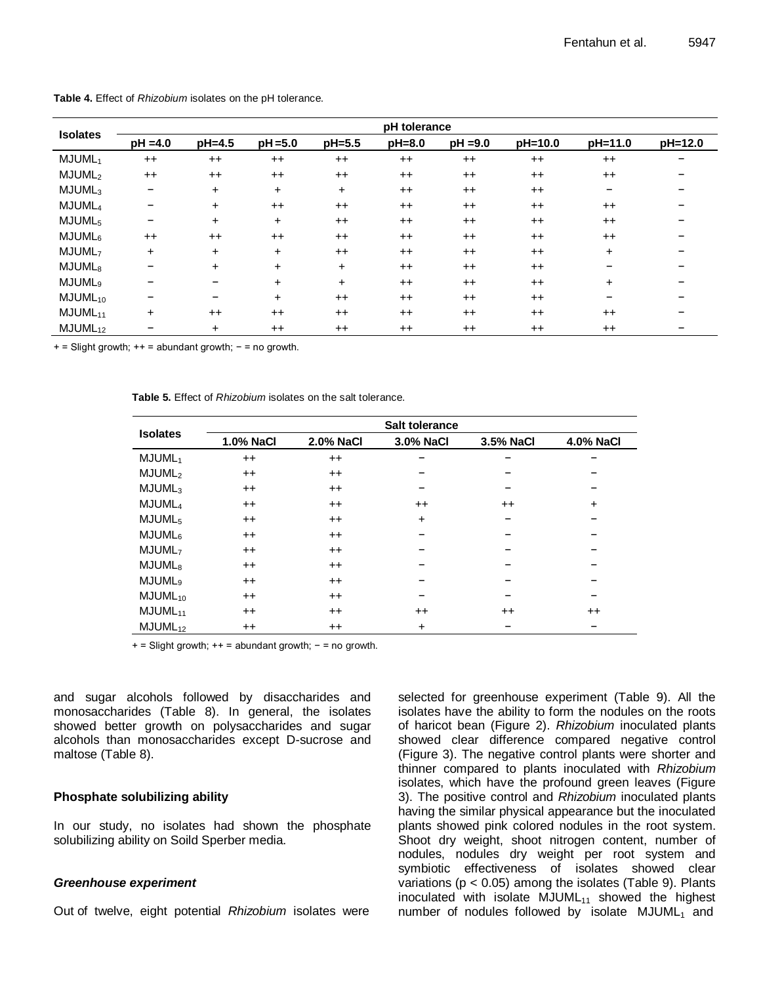| <b>Isolates</b>     | pH tolerance                 |           |            |           |        |            |         |                 |         |  |  |  |
|---------------------|------------------------------|-----------|------------|-----------|--------|------------|---------|-----------------|---------|--|--|--|
|                     | $pH = 4.0$                   | pH=4.5    | $pH = 5.0$ | pH=5.5    | pH=8.0 | $pH = 9.0$ | pH=10.0 | pH=11.0         | pH=12.0 |  |  |  |
| MJUML <sub>1</sub>  | $++$                         | $++$      | $++$       | $++$      | $++$   | $++$       | $++$    | $++$            |         |  |  |  |
| MJUML <sub>2</sub>  | $^{++}$                      | $^{++}$   | $^{++}$    | $^{++}$   | $++$   | $++$       | $++$    | $++$            |         |  |  |  |
| MJUML <sub>3</sub>  | -                            | $\ddot{}$ | $\ddot{}$  | $\ddot{}$ | $++$   | $++$       | $++$    | $\qquad \qquad$ |         |  |  |  |
| MJUML <sub>4</sub>  | -                            | $\ddot{}$ | $++$       | $++$      | $++$   | $++$       | $++$    | $++$            |         |  |  |  |
| MJUML <sub>5</sub>  | $\qquad \qquad \blacksquare$ | $\ddot{}$ | $\ddot{}$  | $++$      | $++$   | $++$       | $++$    | $++$            |         |  |  |  |
| MJUML <sub>6</sub>  | $^{++}$                      | $^{++}$   | $^{++}$    | $^{++}$   | $++$   | $++$       | $++$    | $++$            |         |  |  |  |
| MJUML <sub>7</sub>  | $\ddot{}$                    | $\ddot{}$ | $\ddot{}$  | $^{++}$   | $++$   | $++$       | $++$    | $\ddot{}$       |         |  |  |  |
| MJUML <sub>8</sub>  | -                            | $\ddot{}$ | $\ddot{}$  | $\ddot{}$ | $++$   | $++$       | $++$    |                 |         |  |  |  |
| MJUML <sub>9</sub>  |                              |           | $\ddot{}$  | $\ddot{}$ | $++$   | $++$       | $++$    | $+$             |         |  |  |  |
| $MJUML_{10}$        | -                            | -         | $\pm$      | $++$      | $++$   | $++$       | $++$    | -               |         |  |  |  |
| $MJUML_{11}$        | $+$                          | $^{++}$   | $^{++}$    | $^{++}$   | $++$   | $++$       | $++$    | $++$            |         |  |  |  |
| MJUML <sub>12</sub> |                              | $\ddot{}$ | $^{++}$    | $^{++}$   | $++$   | $++$       | $++$    | $++$            |         |  |  |  |

**Table 4.** Effect of *Rhizobium* isolates on the pH tolerance.

 $+$  = Slight growth;  $+$  = abundant growth;  $-$  = no growth.

**Table 5.** Effect of *Rhizobium* isolates on the salt tolerance.

| <b>Isolates</b>     | <b>Salt tolerance</b> |                  |           |                 |                  |  |  |  |  |  |  |
|---------------------|-----------------------|------------------|-----------|-----------------|------------------|--|--|--|--|--|--|
|                     | 1.0% NaCl             | <b>2.0% NaCl</b> | 3.0% NaCl | 3.5% NaCl       | <b>4.0% NaCl</b> |  |  |  |  |  |  |
| MJUML <sub>1</sub>  | $^{++}$               | $^{++}$          |           |                 |                  |  |  |  |  |  |  |
| MJUML <sub>2</sub>  | $^{++}$               | $^{++}$          |           |                 |                  |  |  |  |  |  |  |
| MJUML <sub>3</sub>  | $^{++}$               | $^{++}$          |           |                 |                  |  |  |  |  |  |  |
| MJUML <sub>4</sub>  | $^{++}$               | $^{++}$          | $^{++}$   | $^{++}$         | +                |  |  |  |  |  |  |
| MJUML <sub>5</sub>  | $^{++}$               | $^{++}$          | $\ddot{}$ |                 |                  |  |  |  |  |  |  |
| MJUML <sub>6</sub>  | $^{++}$               | $^{++}$          |           |                 |                  |  |  |  |  |  |  |
| MJUML <sub>7</sub>  | $^{++}$               | $^{++}$          |           |                 |                  |  |  |  |  |  |  |
| MJUML <sub>8</sub>  | $^{++}$               | $^{++}$          |           |                 |                  |  |  |  |  |  |  |
| MJUML <sub>9</sub>  | $^{++}$               | $^{++}$          |           |                 |                  |  |  |  |  |  |  |
| $MJUML_{10}$        | $^{++}$               | $^{++}$          |           |                 |                  |  |  |  |  |  |  |
| $MJUML_{11}$        | $^{\mathrm{++}}$      | $^{++}$          | $^{++}$   | $^{\mathrm{+}}$ | $^{++}$          |  |  |  |  |  |  |
| MJUML <sub>12</sub> | $^{\mathrm{++}}$      | $^{\mathrm{++}}$ | $\ddot{}$ |                 |                  |  |  |  |  |  |  |

 $+$  = Slight growth;  $++$  = abundant growth;  $-$  = no growth.

and sugar alcohols followed by disaccharides and monosaccharides (Table 8). In general, the isolates showed better growth on polysaccharides and sugar alcohols than monosaccharides except D-sucrose and maltose (Table 8).

## **Phosphate solubilizing ability**

In our study, no isolates had shown the phosphate solubilizing ability on Soild Sperber media.

## *Greenhouse experiment*

Out of twelve, eight potential *Rhizobium* isolates were

selected for greenhouse experiment (Table 9). All the isolates have the ability to form the nodules on the roots of haricot bean (Figure 2). *Rhizobium* inoculated plants showed clear difference compared negative control (Figure 3). The negative control plants were shorter and thinner compared to plants inoculated with *Rhizobium*  isolates, which have the profound green leaves (Figure 3). The positive control and *Rhizobium* inoculated plants having the similar physical appearance but the inoculated plants showed pink colored nodules in the root system. Shoot dry weight, shoot nitrogen content, number of nodules, nodules dry weight per root system and symbiotic effectiveness of isolates showed clear variations ( $p < 0.05$ ) among the isolates (Table 9). Plants inoculated with isolate  $MJUML_{11}$  showed the highest number of nodules followed by isolate  $MJUML_1$  and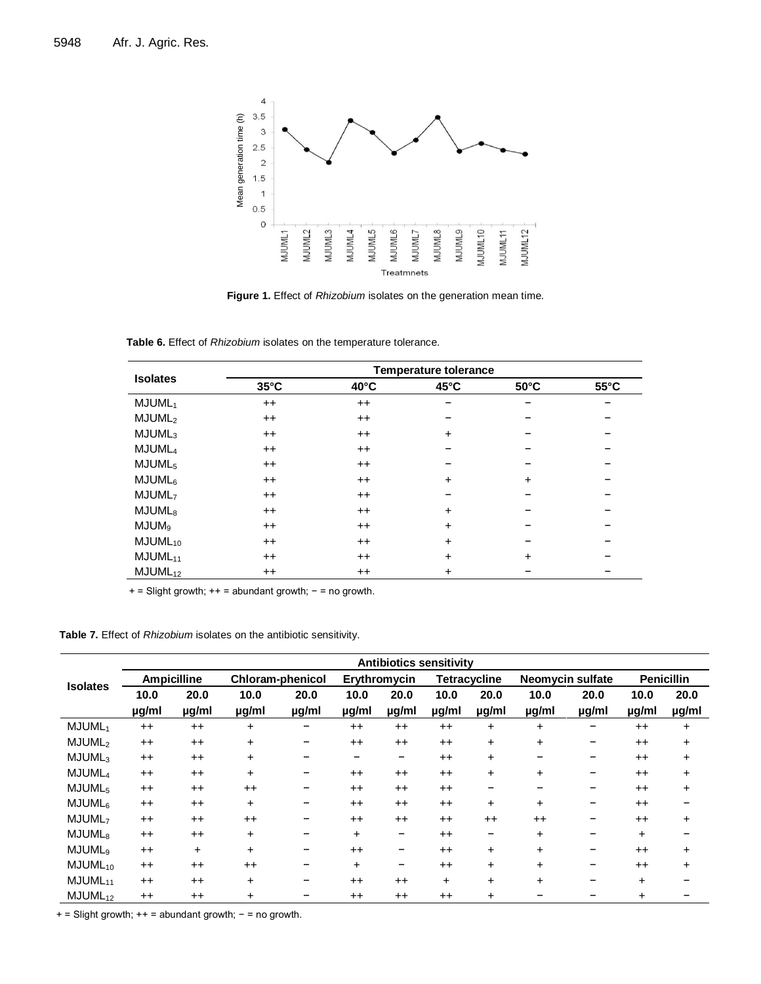

**Figure 1.** Effect of *Rhizobium* isolates on the generation mean time.

| Table 6. Effect of Rhizobium isolates on the temperature tolerance. |  |  |  |  |  |  |
|---------------------------------------------------------------------|--|--|--|--|--|--|
|---------------------------------------------------------------------|--|--|--|--|--|--|

| <b>Isolates</b>    | <b>Temperature tolerance</b> |                |                |                |                |  |  |  |  |
|--------------------|------------------------------|----------------|----------------|----------------|----------------|--|--|--|--|
|                    | $35^{\circ}$ C               | $40^{\circ}$ C | $45^{\circ}$ C | $50^{\circ}$ C | $55^{\circ}$ C |  |  |  |  |
| MJUML <sub>1</sub> | $++$                         | $++$           |                |                |                |  |  |  |  |
| MJUML <sub>2</sub> | $^{++}$                      | $++$           |                |                |                |  |  |  |  |
| MJUML <sub>3</sub> | $^{++}$                      | $++$           | $\ddot{}$      |                |                |  |  |  |  |
| MJUML <sub>4</sub> | $^{++}$                      | $++$           |                |                |                |  |  |  |  |
| MJUML <sub>5</sub> | $^{++}$                      | $++$           |                |                |                |  |  |  |  |
| MJUML <sub>6</sub> | $^{++}$                      | $++$           | $\ddot{}$      | $+$            |                |  |  |  |  |
| MJUML <sub>7</sub> | $^{++}$                      | $++$           |                |                |                |  |  |  |  |
| MJUML <sub>8</sub> | $^{\mathrm{+}}$              | $++$           | $\ddot{}$      |                |                |  |  |  |  |
| MJUM <sub>9</sub>  | $^{++}$                      | $++$           | $\ddot{}$      |                |                |  |  |  |  |
| $MJUML_{10}$       | $^{\mathrm{+}}$              | $++$           | $\ddot{}$      |                |                |  |  |  |  |
| $MJUML_{11}$       | $^{++}$                      | $++$           | $\ddot{}$      | $\div$         |                |  |  |  |  |
| $MJUML_{12}$       | $^{++}$                      | $++$           | $\ddot{}$      |                |                |  |  |  |  |

+ = Slight growth; ++ = abundant growth; - = no growth.

**Table 7.** Effect of *Rhizobium* isolates on the antibiotic sensitivity.

|                     | <b>Antibiotics sensitivity</b> |                    |                         |       |              |         |                     |           |                         |       |                   |           |
|---------------------|--------------------------------|--------------------|-------------------------|-------|--------------|---------|---------------------|-----------|-------------------------|-------|-------------------|-----------|
| <b>Isolates</b>     |                                | <b>Ampicilline</b> | <b>Chloram-phenicol</b> |       | Erythromycin |         | <b>Tetracycline</b> |           | <b>Neomycin sulfate</b> |       | <b>Penicillin</b> |           |
|                     | 10.0                           | 20.0               | 10.0                    | 20.0  | 10.0         | 20.0    | 10.0                | 20.0      | 10.0                    | 20.0  | 10.0              | 20.0      |
|                     | ug/ml                          | ug/ml              | µg/ml                   | µg/ml | µg/ml        | ug/ml   | µg/ml               | µg/ml     | ug/ml                   | ug/ml | <u>µg</u> /ml     | µg/ml     |
| MJUML <sub>1</sub>  | $++$                           | $++$               | $\ddot{}$               |       | $++$         | $++$    | $++$                | $+$       | $\ddot{}$               |       | $++$              | $\ddot{}$ |
| MJUML <sub>2</sub>  | $^{++}$                        | $++$               | $+$                     | -     | $^{++}$      | $^{++}$ | $++$                | $+$       | $\ddot{}$               | -     | $++$              | ÷         |
| MJUML <sub>3</sub>  | $++$                           | $++$               | $\pm$                   |       | -            | -       | $++$                | $+$       |                         |       | $++$              | $\ddot{}$ |
| MJUML <sub>4</sub>  | $^{++}$                        | $++$               | $\ddot{}$               | -     | $^{++}$      | $++$    | $++$                | $+$       | $\ddot{}$               | -     | $++$              | +         |
| MJUML <sub>5</sub>  | $++$                           | $++$               | $++$                    |       | $++$         | $++$    | $++$                |           |                         |       | $++$              | +         |
| MJUML <sub>6</sub>  | $++$                           | $++$               | $+$                     | -     | $++$         | $++$    | $++$                | $+$       | $+$                     |       | $++$              |           |
| MJUML <sub>7</sub>  | $++$                           | $++$               | $++$                    |       | $^{++}$      | $++$    | $++$                | $++$      | $++$                    |       | $++$              | +         |
| MJUML <sub>8</sub>  | $++$                           | $++$               | $\ddot{}$               | -     | $\pm$        | -       | $++$                | -         | ÷                       |       | ÷                 |           |
| MJUML <sub>9</sub>  | $++$                           | $\ddot{}$          | $\pm$                   | -     | $++$         | -       | $++$                | $+$       | ÷                       |       | $++$              | +         |
| $MJUML_{10}$        | $^{++}$                        | $++$               | $++$                    |       | $+$          | -       | $++$                | $+$       | $\ddot{}$               |       | $++$              | +         |
| $MJUML_{11}$        | $^{++}$                        | $++$               | $\ddot{}$               | -     | $^{++}$      | $++$    | +                   | $+$       | $\ddot{}$               |       | $\ddot{}$         |           |
| MJUML <sub>12</sub> | $^{++}$                        | $++$               | $\pm$                   |       | $++$         | $++$    | $++$                | $\ddot{}$ |                         |       | ÷                 |           |

+ = Slight growth; ++ = abundant growth; − = no growth.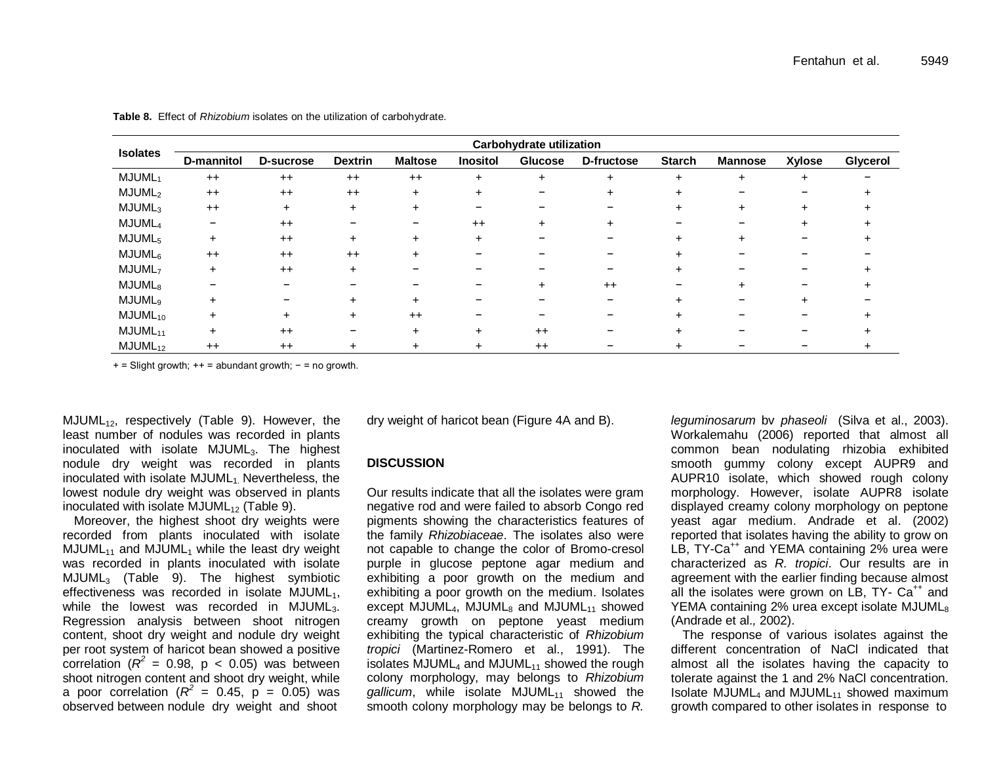|                           |            |           |                |                |                 | <b>Carbohydrate utilization</b> |            |               |                |               |          |
|---------------------------|------------|-----------|----------------|----------------|-----------------|---------------------------------|------------|---------------|----------------|---------------|----------|
| <b>Isolates</b>           | D-mannitol | D-sucrose | <b>Dextrin</b> | <b>Maltose</b> | <b>Inositol</b> | <b>Glucose</b>                  | D-fructose | <b>Starch</b> | <b>Mannose</b> | <b>Xylose</b> | Glycerol |
| MJUML <sub>1</sub>        | $^{++}$    | $^{++}$   | $++$           | $++$           | +               | $\pm$                           | $\pm$      | $^+$          |                |               |          |
| MJUML <sub>2</sub>        | $^{++}$    | $^{++}$   | $++$           | $+$            |                 |                                 | ÷.         |               |                |               |          |
| MJUML <sub>3</sub>        | $++$       | $\ddot{}$ |                |                |                 |                                 |            |               |                |               |          |
| MJUML <sub>4</sub>        | -          | $^{++}$   |                |                | $++$            |                                 | $\ddot{}$  |               |                |               |          |
| MJUML <sub>5</sub>        | $+$        | $++$      | +              |                |                 |                                 |            |               |                |               |          |
| MJUML <sub>6</sub>        | $^{++}$    | $^{++}$   | $++$           |                |                 |                                 |            |               |                |               |          |
| MJUML <sub>7</sub>        | $+$        | $++$      |                |                |                 |                                 |            |               |                |               |          |
| MJUML <sub>8</sub>        |            |           |                |                |                 |                                 | $++$       |               |                |               |          |
| <b>MJUML</b> <sub>9</sub> | ÷          |           |                |                |                 |                                 |            |               |                |               |          |
| $MJUML_{10}$              | $\div$     | $\div$    |                | $++$           |                 |                                 |            |               |                |               |          |
| $MJUML_{11}$              | $\div$     | $++$      |                |                | $\pm$           | $++$                            |            |               |                |               |          |
| $MJUML_{12}$              | $++$       | $++$      |                |                |                 | $^{++}$                         |            |               |                |               |          |

**Table 8.** Effect of *Rhizobium* isolates on the utilization of carbohydrate.

+ = Slight growth; ++ = abundant growth; − = no growth.

 $MJUML_{12}$ , respectively (Table 9). However, the least number of nodules was recorded in plants inoculated with isolate  $MJUML<sub>3</sub>$ . The highest nodule dry weight was recorded in plants inoculated with isolate MJUML<sub>1</sub> Nevertheless, the lowest nodule dry weight was observed in plants inoculated with isolate  $MJUML_{12}$  (Table 9).

Moreover, the highest shoot dry weights were recorded from plants inoculated with isolate  $MJUML_{11}$  and  $MJUML_1$  while the least dry weight was recorded in plants inoculated with isolate MJUML<sup>3</sup> (Table 9). The highest symbiotic effectiveness was recorded in isolate  $MJUML<sub>1</sub>$ , while the lowest was recorded in MJUML $_3$ . Regression analysis between shoot nitrogen content, shoot dry weight and nodule dry weight per root system of haricot bean showed a positive correlation  $(R^2 = 0.98, p < 0.05)$  was between shoot nitrogen content and shoot dry weight, while a poor correlation ( $R^2 = 0.45$ , p = 0.05) was observed between nodule dry weight and shoot

dry weight of haricot bean (Figure 4A and B).

## **DISCUSSION**

Our results indicate that all the isolates were gram negative rod and were failed to absorb Congo red pigments showing the characteristics features of the family *Rhizobiaceae*. The isolates also were not capable to change the color of Bromo-cresol purple in glucose peptone agar medium and exhibiting a poor growth on the medium and exhibiting a poor growth on the medium. Isolates except MJUML<sub>4</sub>, MJUML<sub>8</sub> and MJUML<sub>11</sub> showed creamy growth on peptone yeast medium exhibiting the typical characteristic of *Rhizobium tropici* (Martinez-Romero et al., 1991). The isolates  $MJUML<sub>4</sub>$  and  $MJUML<sub>11</sub>$  showed the rough colony morphology, may belongs to *Rhizobium gallicum*, while isolate MJUML<sub>11</sub> showed the smooth colony morphology may be belongs to *R.* 

*leguminosarum* bv *phaseoli* (Silva et al., 2003). Workalemahu (2006) reported that almost all common bean nodulating rhizobia exhibited smooth gummy colony except AUPR9 and AUPR10 isolate, which showed rough colony morphology. However, isolate AUPR8 isolate displayed creamy colony morphology on peptone yeast agar medium. Andrade et al. (2002) reported that isolates having the ability to grow on LB, TY-Ca<sup>++</sup> and YEMA containing 2% urea were characterized as *R. tropici*. Our results are in agreement with the earlier finding because almost all the isolates were grown on  $LB$ , TY-  $Ca^{++}$  and YEMA containing 2% urea except isolate MJUML<sub>8</sub> (Andrade et al.*,* 2002).

The response of various isolates against the different concentration of NaCl indicated that almost all the isolates having the capacity to tolerate against the 1 and 2% NaCl concentration. Isolate  $MJUML<sub>4</sub>$  and  $MJUML<sub>11</sub>$  showed maximum growth compared to other isolates in response to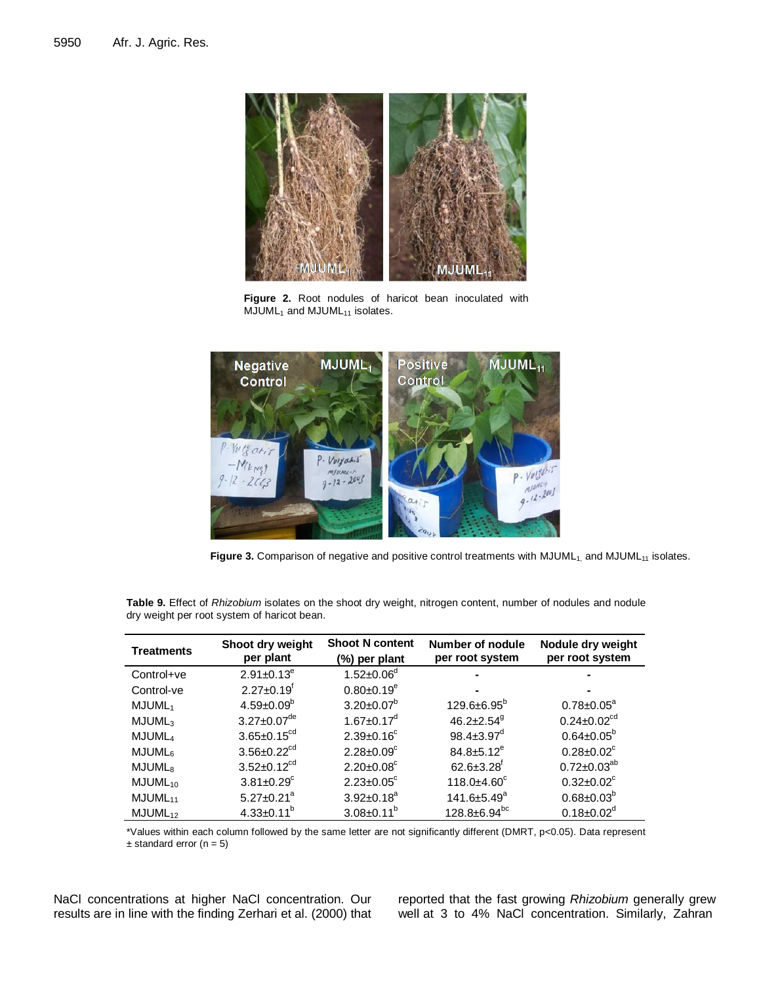

**Figure 2.** Root nodules of haricot bean inoculated with  $MJUML<sub>1</sub>$  and  $MJUML<sub>11</sub>$  isolates.



Figure 3. Comparison of negative and positive control treatments with MJUML<sub>1,</sub> and MJUML<sub>11</sub> isolates.

| <b>Treatments</b>   | Shoot dry weight<br>per plant | <b>Shoot N content</b><br>(%) per plant | Number of nodule<br>per root system | Nodule dry weight<br>per root system |
|---------------------|-------------------------------|-----------------------------------------|-------------------------------------|--------------------------------------|
| Control+ve          | $2.91 \pm 0.13^e$             | $1.52 \pm 0.06^d$                       | -                                   |                                      |
| Control-ve          | $2.27 \pm 0.19$ <sup>t</sup>  | $0.80 \pm 0.19^e$                       |                                     |                                      |
| MJUML <sub>1</sub>  | $4.59 \pm 0.09^b$             | $3.20 \pm 0.07^b$                       | $129.6 \pm 6.95^{\circ}$            | $0.78 \pm 0.05^{\circ}$              |
| MJUML <sub>3</sub>  | $3.27 \pm 0.07$ <sup>de</sup> | $1.67 \pm 0.17$ <sup>d</sup>            | $46.2 \pm 2.54$ <sup>9</sup>        | $0.24 \pm 0.02$ <sup>cd</sup>        |
| MJUML <sub>4</sub>  | $3.65 \pm 0.15^{cd}$          | $2.39 \pm 0.16^c$                       | $98.4 \pm 3.97$ <sup>d</sup>        | $0.64 \pm 0.05^b$                    |
| MJUML <sub>6</sub>  | $3.56 \pm 0.22^{cd}$          | $2.28 \pm 0.09^c$                       | $84.8 \pm 5.12^e$                   | $0.28 \pm 0.02$ <sup>c</sup>         |
| MJUML <sub>8</sub>  | $3.52 \pm 0.12^{cd}$          | $2.20 \pm 0.08$ <sup>c</sup>            | $62.6 \pm 3.28$ <sup>f</sup>        | $0.72 \pm 0.03^{ab}$                 |
| MJUML <sub>10</sub> | $3.81 \pm 0.29$ <sup>c</sup>  | $2.23 \pm 0.05$ °                       | $118.0 \pm 4.60$ <sup>c</sup>       | $0.32 \pm 0.02$ <sup>c</sup>         |
| MJUML <sub>11</sub> | $5.27 \pm 0.21$ <sup>a</sup>  | $3.92 \pm 0.18^a$                       | 141.6±5.49 <sup>a</sup>             | $0.68 \pm 0.03^b$                    |
| MJUML <sub>12</sub> | $4.33 \pm 0.11^b$             | $3.08 \pm 0.11^b$                       | $128.8 \pm 6.94$ <sup>bc</sup>      | $0.18 \pm 0.02^{\circ}$              |

**Table 9.** Effect of *Rhizobium* isolates on the shoot dry weight, nitrogen content, number of nodules and nodule dry weight per root system of haricot bean.

\*Values within each column followed by the same letter are not significantly different (DMRT, p<0.05). Data represent  $±$  standard error (n = 5)

NaCl concentrations at higher NaCl concentration. Our results are in line with the finding Zerhari et al. (2000) that reported that the fast growing *Rhizobium* generally grew well at 3 to 4% NaCl concentration. Similarly, Zahran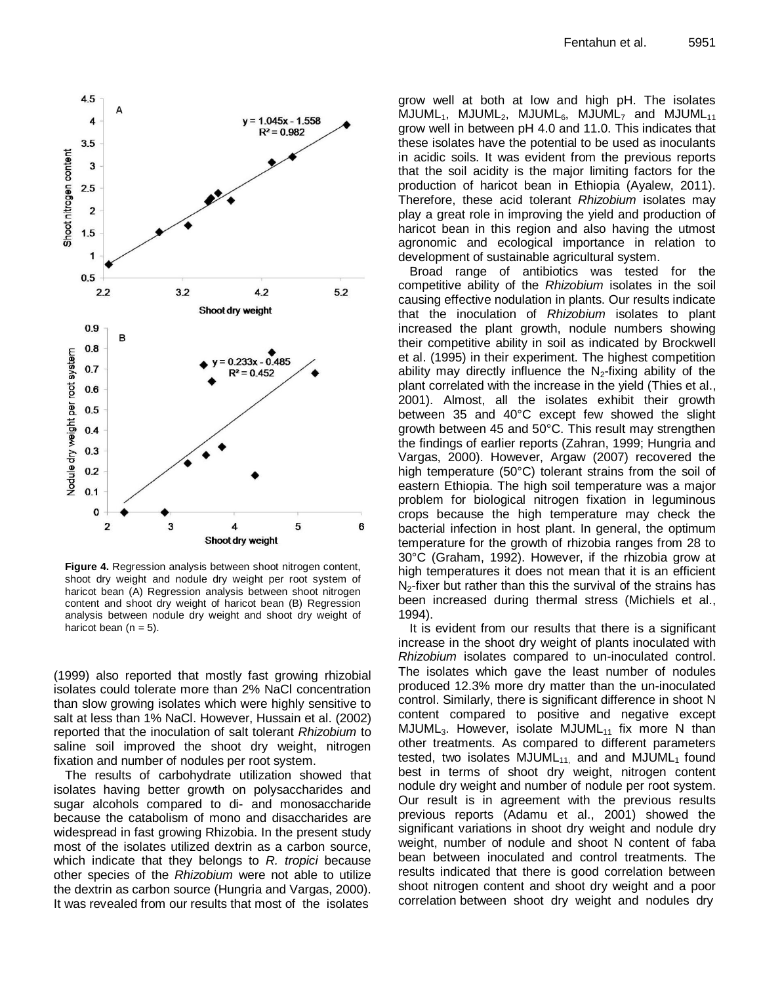

**Figure 4.** Regression analysis between shoot nitrogen content, shoot dry weight and nodule dry weight per root system of haricot bean (A) Regression analysis between shoot nitrogen content and shoot dry weight of haricot bean (B) Regression analysis between nodule dry weight and shoot dry weight of haricot bean  $(n = 5)$ .

(1999) also reported that mostly fast growing rhizobial isolates could tolerate more than 2% NaCl concentration than slow growing isolates which were highly sensitive to salt at less than 1% NaCl. However, Hussain et al. (2002) reported that the inoculation of salt tolerant *Rhizobium* to saline soil improved the shoot dry weight, nitrogen fixation and number of nodules per root system.

The results of carbohydrate utilization showed that isolates having better growth on polysaccharides and sugar alcohols compared to di- and monosaccharide because the catabolism of mono and disaccharides are widespread in fast growing Rhizobia. In the present study most of the isolates utilized dextrin as a carbon source, which indicate that they belongs to *R. tropici* because other species of the *Rhizobium* were not able to utilize the dextrin as carbon source (Hungria and Vargas, 2000). It was revealed from our results that most of the isolates

grow well at both at low and high pH. The isolates  $MJUML_1$ ,  $MJUML_2$ ,  $MJUML_6$ ,  $MJUML_7$  and  $MJUML_{11}$ grow well in between pH 4.0 and 11.0. This indicates that these isolates have the potential to be used as inoculants in acidic soils. It was evident from the previous reports that the soil acidity is the major limiting factors for the production of haricot bean in Ethiopia (Ayalew, 2011). Therefore, these acid tolerant *Rhizobium* isolates may play a great role in improving the yield and production of haricot bean in this region and also having the utmost agronomic and ecological importance in relation to development of sustainable agricultural system.

Broad range of antibiotics was tested for the competitive ability of the *Rhizobium* isolates in the soil causing effective nodulation in plants. Our results indicate that the inoculation of *Rhizobium* isolates to plant increased the plant growth, nodule numbers showing their competitive ability in soil as indicated by Brockwell et al. (1995) in their experiment. The highest competition ability may directly influence the  $N_2$ -fixing ability of the plant correlated with the increase in the yield (Thies et al., 2001). Almost, all the isolates exhibit their growth between 35 and 40°C except few showed the slight growth between 45 and 50°C. This result may strengthen the findings of earlier reports [\(Zahran,](http://www.ncbi.nlm.nih.gov/sites/entrez?cmd=search&db=PubMed&term=%20Zahran%2BHH%5bauth%5d) 1999; Hungria and Vargas, 2000). However, Argaw (2007) recovered the high temperature (50°C) tolerant strains from the soil of eastern Ethiopia. The high soil temperature was a major problem for biological nitrogen fixation in leguminous crops because the high temperature may check the bacterial infection in host plant. In general, the optimum temperature for the growth of rhizobia ranges from 28 to 30°C (Graham, 1992). However, if the rhizobia grow at high temperatures it does not mean that it is an efficient  $N<sub>2</sub>$ -fixer but rather than this the survival of the strains has been increased during thermal stress (Michiels et al., 1994).

It is evident from our results that there is a significant increase in the shoot dry weight of plants inoculated with *Rhizobium* isolates compared to un-inoculated control. The isolates which gave the least number of nodules produced 12.3% more dry matter than the un-inoculated control. Similarly, there is significant difference in shoot N content compared to positive and negative except MJUML<sub>3</sub>. However, isolate MJUML<sub>11</sub> fix more N than other treatments. As compared to different parameters tested, two isolates  $MJUML_{11}$  and and  $MJUML_1$  found best in terms of shoot dry weight, nitrogen content nodule dry weight and number of nodule per root system. Our result is in agreement with the previous results previous reports (Adamu et al., 2001) showed the significant variations in shoot dry weight and nodule dry weight, number of nodule and shoot N content of faba bean between inoculated and control treatments. The results indicated that there is good correlation between shoot nitrogen content and shoot dry weight and a poor correlation between shoot dry weight and nodules dry